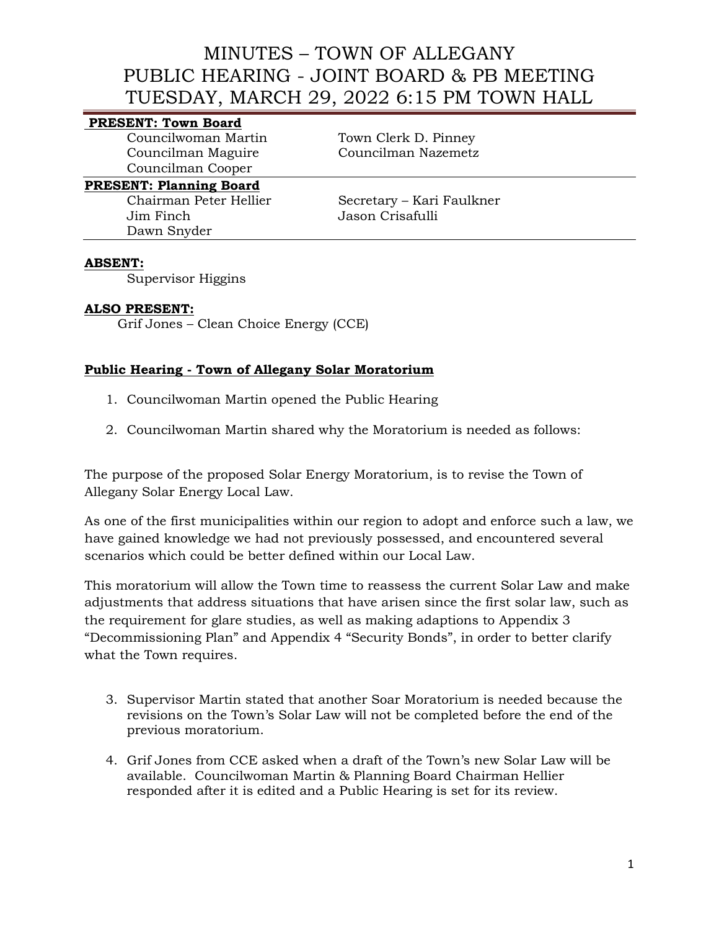# **PRESENT: Town Board**

Councilwoman Martin Town Clerk D. Pinney Councilman Cooper

Councilman Maguire Councilman Nazemetz

## **PRESENT: Planning Board**

Jim Finch Jason Crisafulli Dawn Snyder

Chairman Peter Hellier Secretary – Kari Faulkner

#### **ABSENT:**

Supervisor Higgins

#### **ALSO PRESENT:**

Grif Jones – Clean Choice Energy (CCE)

## **Public Hearing - Town of Allegany Solar Moratorium**

- 1. Councilwoman Martin opened the Public Hearing
- 2. Councilwoman Martin shared why the Moratorium is needed as follows:

The purpose of the proposed Solar Energy Moratorium, is to revise the Town of Allegany Solar Energy Local Law.

As one of the first municipalities within our region to adopt and enforce such a law, we have gained knowledge we had not previously possessed, and encountered several scenarios which could be better defined within our Local Law.

This moratorium will allow the Town time to reassess the current Solar Law and make adjustments that address situations that have arisen since the first solar law, such as the requirement for glare studies, as well as making adaptions to Appendix 3 "Decommissioning Plan" and Appendix 4 "Security Bonds", in order to better clarify what the Town requires.

- 3. Supervisor Martin stated that another Soar Moratorium is needed because the revisions on the Town's Solar Law will not be completed before the end of the previous moratorium.
- 4. Grif Jones from CCE asked when a draft of the Town's new Solar Law will be available. Councilwoman Martin & Planning Board Chairman Hellier responded after it is edited and a Public Hearing is set for its review.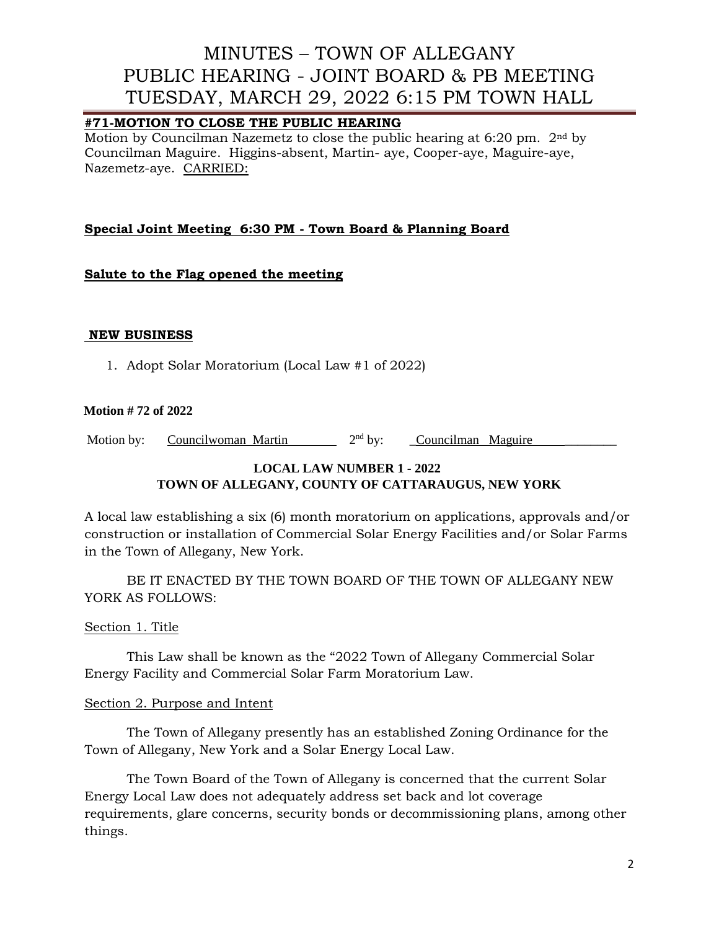# **#71-MOTION TO CLOSE THE PUBLIC HEARING**

Motion by Councilman Nazemetz to close the public hearing at 6:20 pm. 2nd by Councilman Maguire. Higgins-absent, Martin- aye, Cooper-aye, Maguire-aye, Nazemetz-aye. CARRIED:

# **Special Joint Meeting 6:30 PM - Town Board & Planning Board**

## **Salute to the Flag opened the meeting**

#### **NEW BUSINESS**

1. Adopt Solar Moratorium (Local Law #1 of 2022)

#### **Motion # 72 of 2022**

Motion by: Councilwoman Martin 2<sup>nd</sup> by: Councilman Maguire

# **LOCAL LAW NUMBER 1 - 2022 TOWN OF ALLEGANY, COUNTY OF CATTARAUGUS, NEW YORK**

A local law establishing a six (6) month moratorium on applications, approvals and/or construction or installation of Commercial Solar Energy Facilities and/or Solar Farms in the Town of Allegany, New York.

BE IT ENACTED BY THE TOWN BOARD OF THE TOWN OF ALLEGANY NEW YORK AS FOLLOWS:

## Section 1. Title

This Law shall be known as the "2022 Town of Allegany Commercial Solar Energy Facility and Commercial Solar Farm Moratorium Law.

#### Section 2. Purpose and Intent

The Town of Allegany presently has an established Zoning Ordinance for the Town of Allegany, New York and a Solar Energy Local Law.

The Town Board of the Town of Allegany is concerned that the current Solar Energy Local Law does not adequately address set back and lot coverage requirements, glare concerns, security bonds or decommissioning plans, among other things.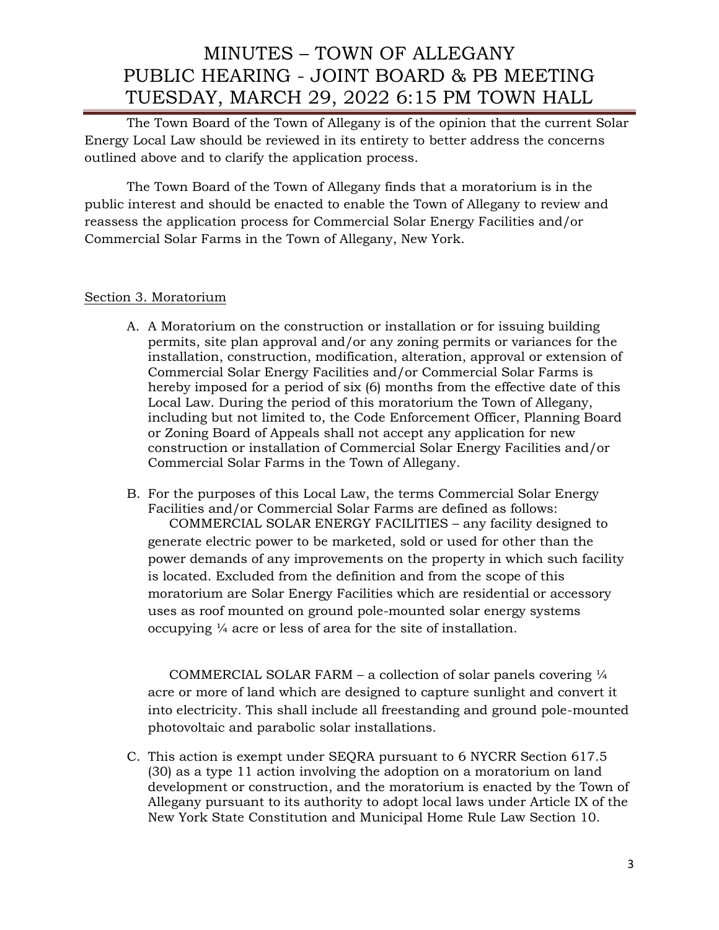The Town Board of the Town of Allegany is of the opinion that the current Solar Energy Local Law should be reviewed in its entirety to better address the concerns outlined above and to clarify the application process.

The Town Board of the Town of Allegany finds that a moratorium is in the public interest and should be enacted to enable the Town of Allegany to review and reassess the application process for Commercial Solar Energy Facilities and/or Commercial Solar Farms in the Town of Allegany, New York.

## Section 3. Moratorium

- A. A Moratorium on the construction or installation or for issuing building permits, site plan approval and/or any zoning permits or variances for the installation, construction, modification, alteration, approval or extension of Commercial Solar Energy Facilities and/or Commercial Solar Farms is hereby imposed for a period of six (6) months from the effective date of this Local Law. During the period of this moratorium the Town of Allegany, including but not limited to, the Code Enforcement Officer, Planning Board or Zoning Board of Appeals shall not accept any application for new construction or installation of Commercial Solar Energy Facilities and/or Commercial Solar Farms in the Town of Allegany.
- B. For the purposes of this Local Law, the terms Commercial Solar Energy Facilities and/or Commercial Solar Farms are defined as follows: COMMERCIAL SOLAR ENERGY FACILITIES – any facility designed to generate electric power to be marketed, sold or used for other than the power demands of any improvements on the property in which such facility is located. Excluded from the definition and from the scope of this moratorium are Solar Energy Facilities which are residential or accessory uses as roof mounted on ground pole-mounted solar energy systems occupying ¼ acre or less of area for the site of installation.

COMMERCIAL SOLAR FARM – a collection of solar panels covering  $\frac{1}{4}$ acre or more of land which are designed to capture sunlight and convert it into electricity. This shall include all freestanding and ground pole-mounted photovoltaic and parabolic solar installations.

C. This action is exempt under SEQRA pursuant to 6 NYCRR Section 617.5 (30) as a type 11 action involving the adoption on a moratorium on land development or construction, and the moratorium is enacted by the Town of Allegany pursuant to its authority to adopt local laws under Article IX of the New York State Constitution and Municipal Home Rule Law Section 10.